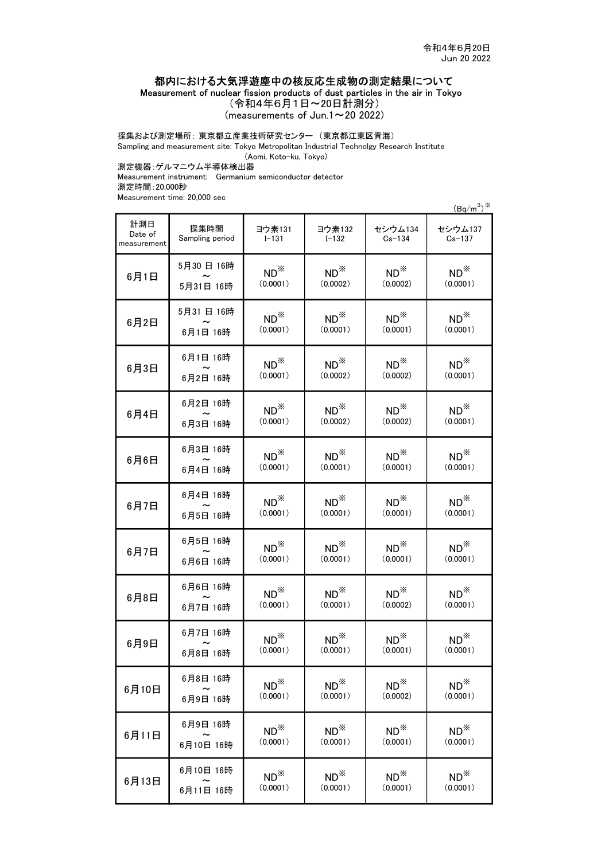## 都内における大気浮遊塵中の核反応生成物の測定結果について

Measurement of nuclear fission products of dust particles in the air in Tokyo

(令和4年6月1日~20日計測分)

(measurements of Jun.1 $\sim$ 20 2022)

採集および測定場所: 東京都立産業技術研究センター (東京都江東区青海)

Sampling and measurement site: Tokyo Metropolitan Industrial Technolgy Research Institute

(Aomi, Koto-ku, Tokyo)

測定機器:ゲルマニウム半導体検出器

Measurement instrument: Germanium semiconductor detector 測定時間:20,000秒

Measurement time: 20,000 sec

 $(Bq/m^3)^*$ 

| 計測日<br>Date of<br>measurement | 採集時間<br>Sampling period | ヨウ素131<br>$I - 131$ | ヨウ素132<br>$I - 132$ | セシウム134<br>$Cs - 134$ | セシウム137<br>$Cs - 137$ |
|-------------------------------|-------------------------|---------------------|---------------------|-----------------------|-----------------------|
| 6月1日                          | 5月30日 16時               | $ND^*$              | $ND^*$              | $ND^*$                | $ND^*$                |
|                               | 5月31日 16時               | (0.0001)            | (0.0002)            | (0.0002)              | (0.0001)              |
| 6月2日                          | 5月31日 16時               | $ND^*$              | $ND^*$              | $ND^*$                | $ND^*$                |
|                               | 6月1日 16時                | (0.0001)            | (0.0001)            | (0.0001)              | (0.0001)              |
| 6月3日                          | 6月1日 16時                | $ND^*$              | $ND^*$              | $ND^*$                | $ND^*$                |
|                               | 6月2日 16時                | (0.0001)            | (0.0002)            | (0.0002)              | (0.0001)              |
| 6月4日                          | 6月2日 16時                | $ND^*$              | $ND^*$              | $ND^*$                | $ND^*$                |
|                               | 6月3日 16時                | (0.0001)            | (0.0002)            | (0.0002)              | (0.0001)              |
| 6月6日                          | 6月3日 16時                | $ND^*$              | $ND^*$              | $ND^*$                | $ND^*$                |
|                               | 6月4日 16時                | (0.0001)            | (0.0001)            | (0.0001)              | (0.0001)              |
| 6月7日                          | 6月4日 16時                | $ND^*$              | $ND^*$              | $ND^*$                | $ND^*$                |
|                               | 6月5日 16時                | (0.0001)            | (0.0001)            | (0.0001)              | (0.0001)              |
| 6月7日                          | 6月5日 16時                | $ND^*$              | $ND^*$              | $ND^*$                | $ND^*$                |
|                               | 6月6日 16時                | (0.0001)            | (0.0001)            | (0.0001)              | (0.0001)              |
| 6月8日                          | 6月6日 16時                | $ND^*$              | $ND^*$              | $ND^*$                | $ND^*$                |
|                               | 6月7日 16時                | (0.0001)            | (0.0001)            | (0.0002)              | (0.0001)              |
| 6月9日                          | 6月7日 16時                | $ND^*$              | $ND^*$              | $ND^*$                | $ND^*$                |
|                               | 6月8日 16時                | (0.0001)            | (0.0001)            | (0.0001)              | (0.0001)              |
| 6月10日                         | 6月8日 16時                | $ND^*$              | $ND^*$              | $ND^*$                | $ND^*$                |
|                               | 6月9日 16時                | (0.0001)            | (0.0001)            | (0.0002)              | (0.0001)              |
| 6月11日                         | 6月9日 16時                | $ND^{\times}$       | $ND^*$              | $ND^*$                | $ND^*$                |
|                               | 6月10日 16時               | (0.0001)            | (0.0001)            | (0.0001)              | (0.0001)              |
| 6月13日                         | 6月10日 16時               | $ND^*$              | $ND^*$              | $ND^*$                | $ND^*$                |
|                               | 6月11日 16時               | (0.0001)            | (0.0001)            | (0.0001)              | (0.0001)              |